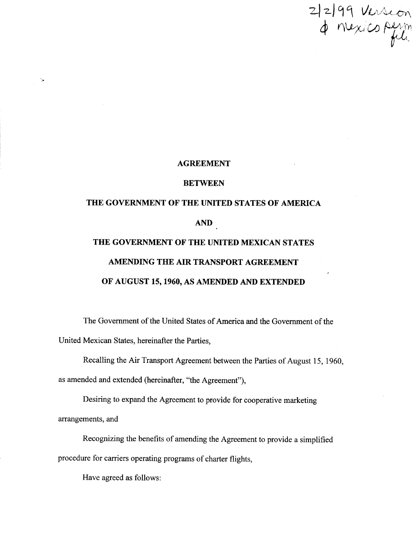$2|2|99$  Version

#### AGREEMENT

#### BETWEEN

# THE GOVERNMENT OF THE UNITED STATES OF AMERICA AND THE GOVERNMENT OF THE UNITED MEXICAN STATES AMENDING THE AIR TRANSPORT AGREEMENT

OF AUGUST 15,1960, AS AMENDED AND EXTENDED

The Government of the United States of America and the Government of the United Mexican States, hereinafter the Parties,

Recalling the Air Transport Agreement between the Parties of August 15, 1960, as amended and extended (hereinafter, "the Agreement"),

Desiring to expand the Agreement to provide for cooperative marketing arrangements, and

Recognizing the benefits of amending the Agreement to provide a simplified procedure for carriers operating programs of charter flights,

Have agreed as follows :

 $\lambda$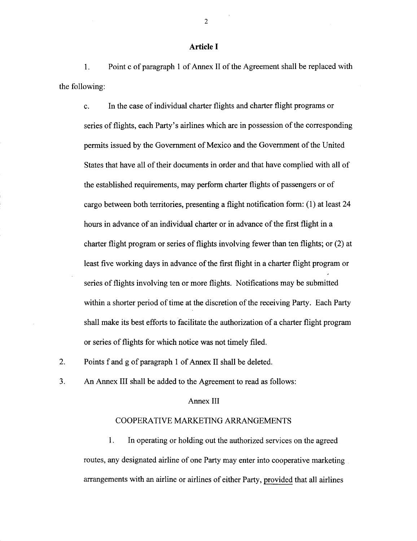## Article I

1 . Point c of paragraph 1 of Annex II of the Agreement shall be replaced with the following:

c. In the case of individual charter flights and charter flight programs or series of flights, each Party's airlines which are in possession of the corresponding permits issued by the Government of Mexico and the Government of the United States that have all of their documents in order and that have complied with all of the established requirements, may perform charter flights of passengers or of cargo between both territories, presenting a flight notification form : (1) at least 24 hours in advance of an individual charter or in advance of the first flight in a charter flight program or series of flights involving fewer than ten flights ; or (2) at least five working days in advance of the first flight in a charter flight program or series of flights involving ten or more flights. Notifications may be submitted within a shorter period of time at the discretion of the receiving Party. Each Party shall make its best efforts to facilitate the authorization of a charter flight program or series of flights for which notice was not timely filed .

2. Points f and g of paragraph 1 of Annex II shall be deleted.

3. An Annex III shall be added to the Agreement to read as follows:

### Annex III

## COOPERATIVE MARKETING ARRANGEMENTS

1. In operating or holding out the authorized services on the agreed routes, any designated airline of one Party may enter into cooperative marketing arrangements with an airline or airlines of either Party, provided that all airlines

2